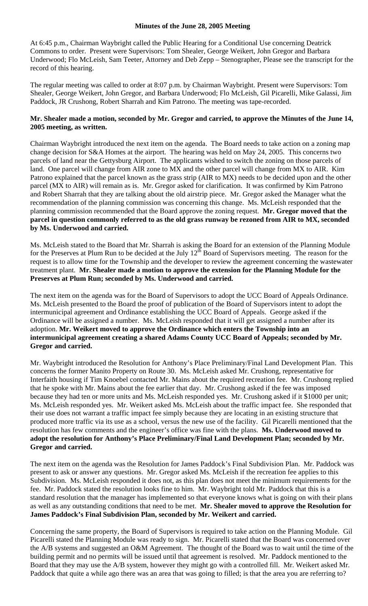## **Minutes of the June 28, 2005 Meeting**

At 6:45 p.m., Chairman Waybright called the Public Hearing for a Conditional Use concerning Deatrick Commons to order. Present were Supervisors: Tom Shealer, George Weikert, John Gregor and Barbara Underwood; Flo McLeish, Sam Teeter, Attorney and Deb Zepp – Stenographer, Please see the transcript for the record of this hearing.

The regular meeting was called to order at 8:07 p.m. by Chairman Waybright. Present were Supervisors: Tom Shealer, George Weikert, John Gregor, and Barbara Underwood; Flo McLeish, Gil Picarelli, Mike Galassi, Jim Paddock, JR Crushong, Robert Sharrah and Kim Patrono. The meeting was tape-recorded.

## **Mr. Shealer made a motion, seconded by Mr. Gregor and carried, to approve the Minutes of the June 14, 2005 meeting, as written.**

Chairman Waybright introduced the next item on the agenda. The Board needs to take action on a zoning map change decision for S&A Homes at the airport. The hearing was held on May 24, 2005. This concerns two parcels of land near the Gettysburg Airport. The applicants wished to switch the zoning on those parcels of land. One parcel will change from AIR zone to MX and the other parcel will change from MX to AIR. Kim Patrono explained that the parcel known as the grass strip (AIR to MX) needs to be decided upon and the other parcel (MX to AIR) will remain as is. Mr. Gregor asked for clarification. It was confirmed by Kim Patrono and Robert Sharrah that they are talking about the old airstrip piece. Mr. Gregor asked the Manager what the recommendation of the planning commission was concerning this change. Ms. McLeish responded that the planning commission recommended that the Board approve the zoning request. **Mr. Gregor moved that the parcel in question commonly referred to as the old grass runway be rezoned from AIR to MX, seconded by Ms. Underwood and carried.**

Ms. McLeish stated to the Board that Mr. Sharrah is asking the Board for an extension of the Planning Module for the Preserves at Plum Run to be decided at the July  $12<sup>th</sup>$  Board of Supervisors meeting. The reason for the request is to allow time for the Township and the developer to review the agreement concerning the wastewater treatment plant. **Mr. Shealer made a motion to approve the extension for the Planning Module for the Preserves at Plum Run; seconded by Ms. Underwood and carried.** 

The next item on the agenda was for the Board of Supervisors to adopt the UCC Board of Appeals Ordinance. Ms. McLeish presented to the Board the proof of publication of the Board of Supervisors intent to adopt the intermunicipal agreement and Ordinance establishing the UCC Board of Appeals. George asked if the Ordinance will be assigned a number. Ms. McLeish responded that it will get assigned a number after its adoption. **Mr. Weikert moved to approve the Ordinance which enters the Township into an intermunicipal agreement creating a shared Adams County UCC Board of Appeals; seconded by Mr. Gregor and carried.** 

Mr. Waybright introduced the Resolution for Anthony's Place Preliminary/Final Land Development Plan. This concerns the former Manito Property on Route 30. Ms. McLeish asked Mr. Crushong, representative for Interfaith housing if Tim Knoebel contacted Mr. Mains about the required recreation fee. Mr. Crushong replied that he spoke with Mr. Mains about the fee earlier that day. Mr. Crushong asked if the fee was imposed because they had ten or more units and Ms. McLeish responded yes. Mr. Crushong asked if it \$1000 per unit; Ms. McLeish responded yes. Mr. Weikert asked Ms. McLeish about the traffic impact fee. She responded that their use does not warrant a traffic impact fee simply because they are locating in an existing structure that produced more traffic via its use as a school, versus the new use of the facility. Gil Picarelli mentioned that the resolution has few comments and the engineer's office was fine with the plans. **Ms. Underwood moved to adopt the resolution for Anthony's Place Preliminary/Final Land Development Plan; seconded by Mr. Gregor and carried.**

The next item on the agenda was the Resolution for James Paddock's Final Subdivision Plan. Mr. Paddock was present to ask or answer any questions. Mr. Gregor asked Ms. McLeish if the recreation fee applies to this Subdivision. Ms. McLeish responded it does not, as this plan does not meet the minimum requirements for the fee. Mr. Paddock stated the resolution looks fine to him. Mr. Waybright told Mr. Paddock that this is a standard resolution that the manager has implemented so that everyone knows what is going on with their plans as well as any outstanding conditions that need to be met. **Mr. Shealer moved to approve the Resolution for James Paddock's Final Subdivision Plan, seconded by Mr. Weikert and carried.** 

Concerning the same property, the Board of Supervisors is required to take action on the Planning Module. Gil Picarelli stated the Planning Module was ready to sign. Mr. Picarelli stated that the Board was concerned over the A/B systems and suggested an O&M Agreement. The thought of the Board was to wait until the time of the building permit and no permits will be issued until that agreement is resolved. Mr. Paddock mentioned to the Board that they may use the A/B system, however they might go with a controlled fill. Mr. Weikert asked Mr. Paddock that quite a while ago there was an area that was going to filled; is that the area you are referring to?